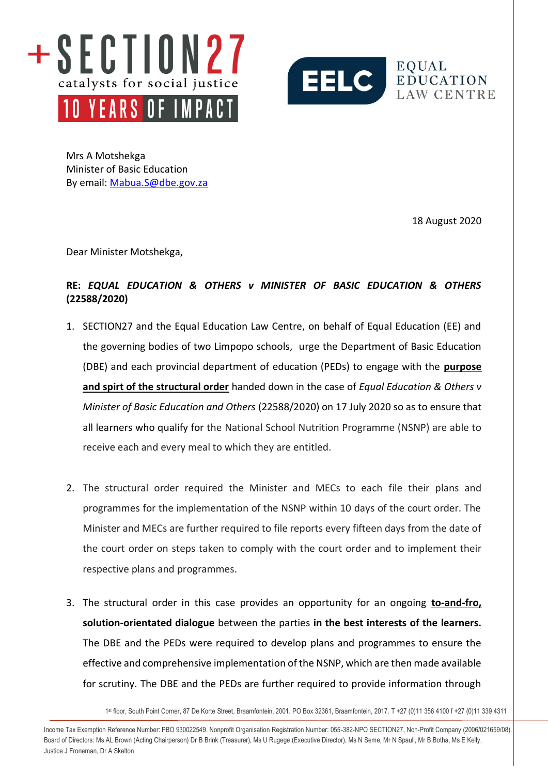



Mrs A Motshekga Minister of Basic Education By email: [Mabua.S@dbe.gov.za](mailto:Mabua.S@dbe.gov.za)

18 August 2020

Dear Minister Motshekga,

## **RE:** *EQUAL EDUCATION & OTHERS v MINISTER OF BASIC EDUCATION & OTHERS* **(22588/2020)**

- 1. SECTION27 and the Equal Education Law Centre, on behalf of Equal Education (EE) and the governing bodies of two Limpopo schools, urge the Department of Basic Education (DBE) and each provincial department of education (PEDs) to engage with the **purpose and spirt of the structural order** handed down in the case of *Equal Education & Others v Minister of Basic Education and Others* (22588/2020) on 17 July 2020 so as to ensure that all learners who qualify for the National School Nutrition Programme (NSNP) are able to receive each and every meal to which they are entitled.
- 2. The structural order required the Minister and MECs to each file their plans and programmes for the implementation of the NSNP within 10 days of the court order. The Minister and MECs are further required to file reports every fifteen days from the date of the court order on steps taken to comply with the court order and to implement their respective plans and programmes.
- 3. The structural order in this case provides an opportunity for an ongoing **to-and-fro, solution-orientated dialogue** between the parties **in the best interests of the learners.** The DBE and the PEDs were required to develop plans and programmes to ensure the effective and comprehensive implementation of the NSNP, which are then made available for scrutiny. The DBE and the PEDs are further required to provide information through

1 st floor, South Point Corner, 87 De Korte Street, Braamfontein, 2001. PO Box 32361, Braamfontein, 2017. T +27 (0)11 356 4100 f +27 (0)11 339 4311

info@section27.org.za **www.section27.org.za** Income Tax Exemption Reference Number: PBO 930022549. Nonprofit Organisation Registration Number: 055-382-NPO SECTION27, Non-Profit Company (2006/021659/08). Board of Directors: Ms AL Brown (Acting Chairperson) Dr B Brink (Treasurer), Ms U Rugege (Executive Director), Ms N Seme, Mr N Spaull, Mr B Botha, Ms E Kelly, Justice J Froneman, Dr A Skelton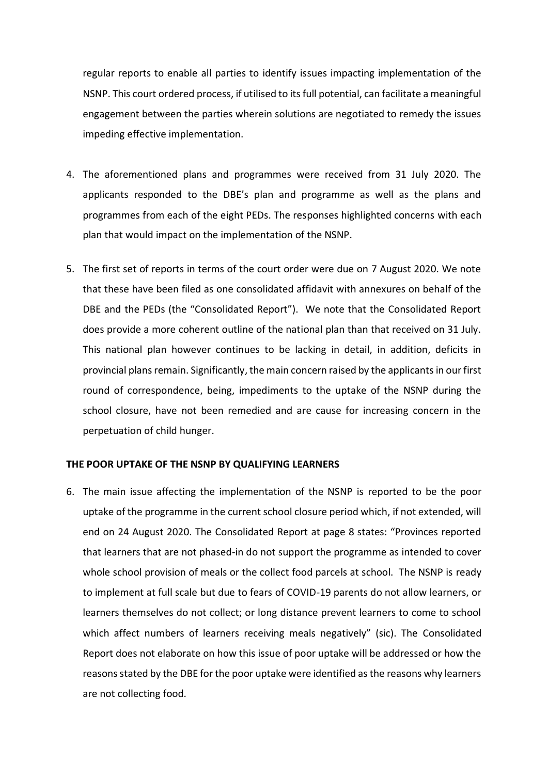regular reports to enable all parties to identify issues impacting implementation of the NSNP. This court ordered process, if utilised to its full potential, can facilitate a meaningful engagement between the parties wherein solutions are negotiated to remedy the issues impeding effective implementation.

- 4. The aforementioned plans and programmes were received from 31 July 2020. The applicants responded to the DBE's plan and programme as well as the plans and programmes from each of the eight PEDs. The responses highlighted concerns with each plan that would impact on the implementation of the NSNP.
- 5. The first set of reports in terms of the court order were due on 7 August 2020. We note that these have been filed as one consolidated affidavit with annexures on behalf of the DBE and the PEDs (the "Consolidated Report"). We note that the Consolidated Report does provide a more coherent outline of the national plan than that received on 31 July. This national plan however continues to be lacking in detail, in addition, deficits in provincial plans remain. Significantly, the main concern raised by the applicants in our first round of correspondence, being, impediments to the uptake of the NSNP during the school closure, have not been remedied and are cause for increasing concern in the perpetuation of child hunger.

## **THE POOR UPTAKE OF THE NSNP BY QUALIFYING LEARNERS**

6. The main issue affecting the implementation of the NSNP is reported to be the poor uptake of the programme in the current school closure period which, if not extended, will end on 24 August 2020. The Consolidated Report at page 8 states: "Provinces reported that learners that are not phased-in do not support the programme as intended to cover whole school provision of meals or the collect food parcels at school. The NSNP is ready to implement at full scale but due to fears of COVID-19 parents do not allow learners, or learners themselves do not collect; or long distance prevent learners to come to school which affect numbers of learners receiving meals negatively" (sic). The Consolidated Report does not elaborate on how this issue of poor uptake will be addressed or how the reasons stated by the DBE for the poor uptake were identified as the reasons why learners are not collecting food.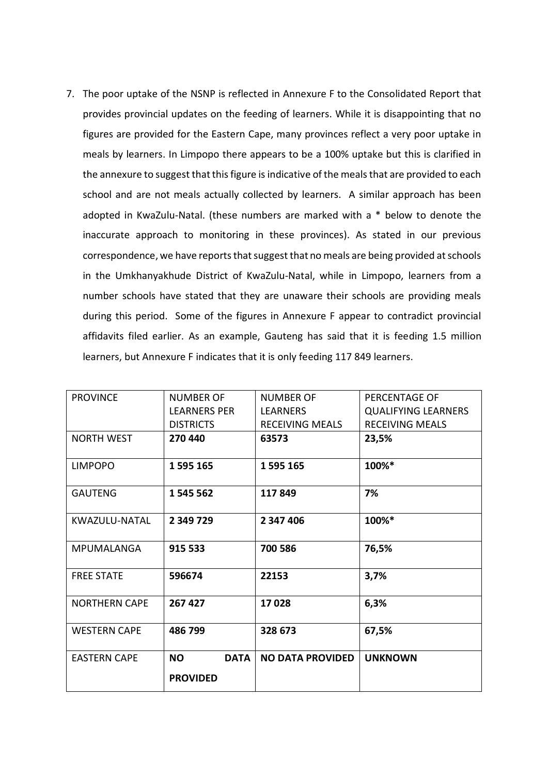7. The poor uptake of the NSNP is reflected in Annexure F to the Consolidated Report that provides provincial updates on the feeding of learners. While it is disappointing that no figures are provided for the Eastern Cape, many provinces reflect a very poor uptake in meals by learners. In Limpopo there appears to be a 100% uptake but this is clarified in the annexure to suggest that this figure is indicative of the meals that are provided to each school and are not meals actually collected by learners. A similar approach has been adopted in KwaZulu-Natal. (these numbers are marked with a \* below to denote the inaccurate approach to monitoring in these provinces). As stated in our previous correspondence, we have reports that suggest that no meals are being provided at schools in the Umkhanyakhude District of KwaZulu-Natal, while in Limpopo, learners from a number schools have stated that they are unaware their schools are providing meals during this period. Some of the figures in Annexure F appear to contradict provincial affidavits filed earlier. As an example, Gauteng has said that it is feeding 1.5 million learners, but Annexure F indicates that it is only feeding 117 849 learners.

| <b>PROVINCE</b>      | <b>NUMBER OF</b>         | <b>NUMBER OF</b>        | PERCENTAGE OF              |
|----------------------|--------------------------|-------------------------|----------------------------|
|                      | <b>LEARNERS PER</b>      | <b>LEARNERS</b>         | <b>QUALIFYING LEARNERS</b> |
|                      | <b>DISTRICTS</b>         | RECEIVING MEALS         | <b>RECEIVING MEALS</b>     |
| <b>NORTH WEST</b>    | 270 440                  | 63573                   | 23,5%                      |
|                      |                          |                         |                            |
| <b>LIMPOPO</b>       | 1595165                  | 1595165                 | 100%*                      |
| <b>GAUTENG</b>       | 1 545 562                | 117849                  | 7%                         |
|                      |                          |                         |                            |
| KWAZULU-NATAL        | 2 349 729                | 2 347 406               | 100%*                      |
|                      |                          |                         |                            |
| <b>MPUMALANGA</b>    | 915 533                  | 700 586                 | 76,5%                      |
|                      |                          |                         |                            |
| <b>FREE STATE</b>    | 596674                   | 22153                   | 3,7%                       |
| <b>NORTHERN CAPE</b> | 267 427                  | 17028                   | 6,3%                       |
|                      |                          |                         |                            |
| <b>WESTERN CAPE</b>  | 486 799                  | 328 673                 | 67,5%                      |
|                      |                          |                         |                            |
| <b>EASTERN CAPE</b>  | <b>NO</b><br><b>DATA</b> | <b>NO DATA PROVIDED</b> | <b>UNKNOWN</b>             |
|                      | <b>PROVIDED</b>          |                         |                            |
|                      |                          |                         |                            |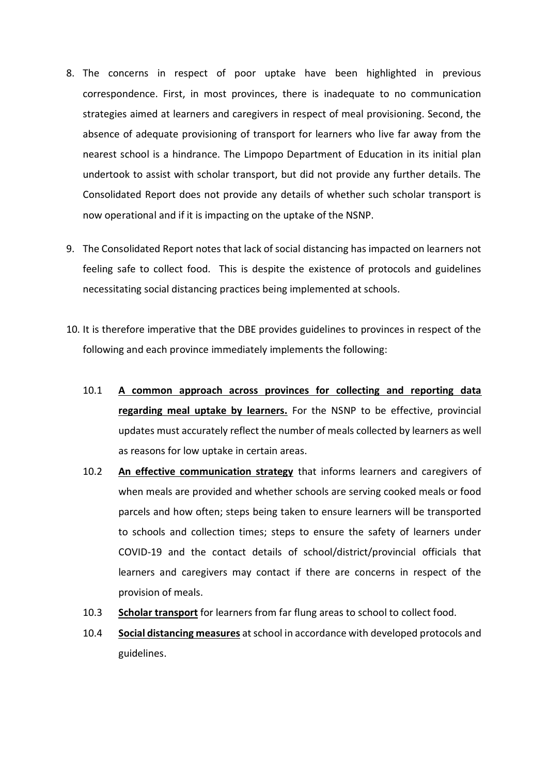- 8. The concerns in respect of poor uptake have been highlighted in previous correspondence. First, in most provinces, there is inadequate to no communication strategies aimed at learners and caregivers in respect of meal provisioning. Second, the absence of adequate provisioning of transport for learners who live far away from the nearest school is a hindrance. The Limpopo Department of Education in its initial plan undertook to assist with scholar transport, but did not provide any further details. The Consolidated Report does not provide any details of whether such scholar transport is now operational and if it is impacting on the uptake of the NSNP.
- 9. The Consolidated Report notes that lack of social distancing has impacted on learners not feeling safe to collect food. This is despite the existence of protocols and guidelines necessitating social distancing practices being implemented at schools.
- 10. It is therefore imperative that the DBE provides guidelines to provinces in respect of the following and each province immediately implements the following:
	- 10.1 **A common approach across provinces for collecting and reporting data regarding meal uptake by learners.** For the NSNP to be effective, provincial updates must accurately reflect the number of meals collected by learners as well as reasons for low uptake in certain areas.
	- 10.2 **An effective communication strategy** that informs learners and caregivers of when meals are provided and whether schools are serving cooked meals or food parcels and how often; steps being taken to ensure learners will be transported to schools and collection times; steps to ensure the safety of learners under COVID-19 and the contact details of school/district/provincial officials that learners and caregivers may contact if there are concerns in respect of the provision of meals.
	- 10.3 **Scholar transport** for learners from far flung areas to school to collect food.
	- 10.4 **Social distancing measures** at school in accordance with developed protocols and guidelines.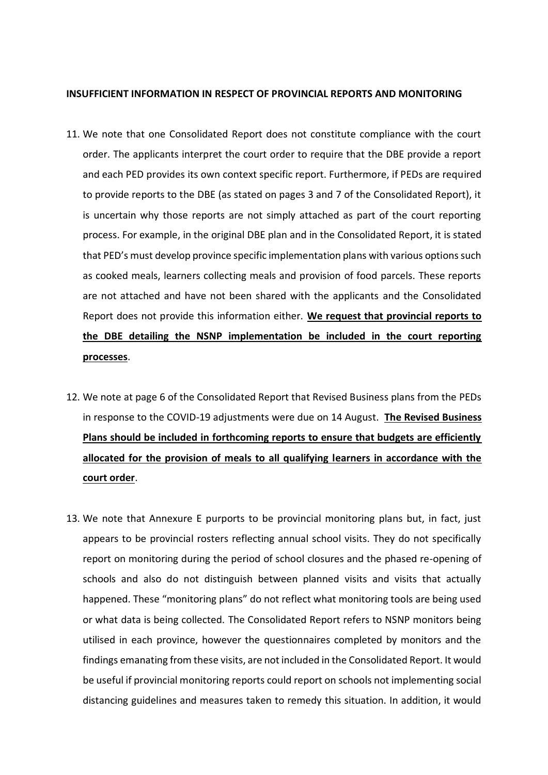## **INSUFFICIENT INFORMATION IN RESPECT OF PROVINCIAL REPORTS AND MONITORING**

- 11. We note that one Consolidated Report does not constitute compliance with the court order. The applicants interpret the court order to require that the DBE provide a report and each PED provides its own context specific report. Furthermore, if PEDs are required to provide reports to the DBE (as stated on pages 3 and 7 of the Consolidated Report), it is uncertain why those reports are not simply attached as part of the court reporting process. For example, in the original DBE plan and in the Consolidated Report, it is stated that PED's must develop province specific implementation plans with various options such as cooked meals, learners collecting meals and provision of food parcels. These reports are not attached and have not been shared with the applicants and the Consolidated Report does not provide this information either. **We request that provincial reports to the DBE detailing the NSNP implementation be included in the court reporting processes**.
- 12. We note at page 6 of the Consolidated Report that Revised Business plans from the PEDs in response to the COVID-19 adjustments were due on 14 August. **The Revised Business Plans should be included in forthcoming reports to ensure that budgets are efficiently allocated for the provision of meals to all qualifying learners in accordance with the court order**.
- 13. We note that Annexure E purports to be provincial monitoring plans but, in fact, just appears to be provincial rosters reflecting annual school visits. They do not specifically report on monitoring during the period of school closures and the phased re-opening of schools and also do not distinguish between planned visits and visits that actually happened. These "monitoring plans" do not reflect what monitoring tools are being used or what data is being collected. The Consolidated Report refers to NSNP monitors being utilised in each province, however the questionnaires completed by monitors and the findings emanating from these visits, are not included in the Consolidated Report. It would be useful if provincial monitoring reports could report on schools not implementing social distancing guidelines and measures taken to remedy this situation. In addition, it would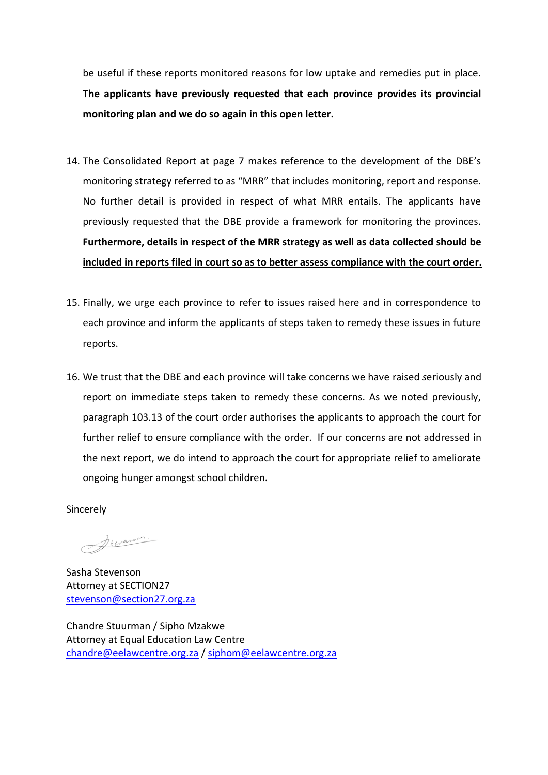be useful if these reports monitored reasons for low uptake and remedies put in place. **The applicants have previously requested that each province provides its provincial monitoring plan and we do so again in this open letter.**

- 14. The Consolidated Report at page 7 makes reference to the development of the DBE's monitoring strategy referred to as "MRR" that includes monitoring, report and response. No further detail is provided in respect of what MRR entails. The applicants have previously requested that the DBE provide a framework for monitoring the provinces. **Furthermore, details in respect of the MRR strategy as well as data collected should be included in reports filed in court so as to better assess compliance with the court order.**
- 15. Finally, we urge each province to refer to issues raised here and in correspondence to each province and inform the applicants of steps taken to remedy these issues in future reports.
- 16. We trust that the DBE and each province will take concerns we have raised *s*eriously and report on immediate steps taken to remedy these concerns. As we noted previously, paragraph 103.13 of the court order authorises the applicants to approach the court for further relief to ensure compliance with the order. If our concerns are not addressed in the next report, we do intend to approach the court for appropriate relief to ameliorate ongoing hunger amongst school children.

Sincerely

Jewerson.

Sasha Stevenson Attorney at SECTION27 [stevenson@section27.org.za](mailto:stevenson@section27.org.za)

Chandre Stuurman / Sipho Mzakwe Attorney at Equal Education Law Centre [chandre@eelawcentre.org.za](mailto:chandre@eelawcentre.org.za) / [siphom@eelawcentre.org.za](mailto:siphom@eelawcentre.org.za)